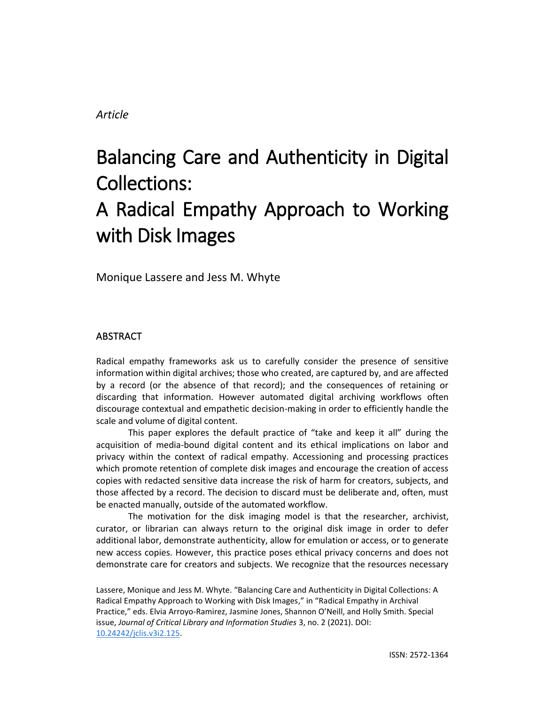# *Article*

# Balancing Care and Authenticity in Digital Collections: A Radical Empathy Approach to Working with Disk Images

Monique Lassere and Jess M. Whyte

# ABSTRACT

Radical empathy frameworks ask us to carefully consider the presence of sensitive information within digital archives; those who created, are captured by, and are affected by a record (or the absence of that record); and the consequences of retaining or discarding that information. However automated digital archiving workflows often discourage contextual and empathetic decision-making in order to efficiently handle the scale and volume of digital content.

This paper explores the default practice of "take and keep it all" during the acquisition of media-bound digital content and its ethical implications on labor and privacy within the context of radical empathy. Accessioning and processing practices which promote retention of complete disk images and encourage the creation of access copies with redacted sensitive data increase the risk of harm for creators, subjects, and those affected by a record. The decision to discard must be deliberate and, often, must be enacted manually, outside of the automated workflow.

The motivation for the disk imaging model is that the researcher, archivist, curator, or librarian can always return to the original disk image in order to defer additional labor, demonstrate authenticity, allow for emulation or access, or to generate new access copies. However, this practice poses ethical privacy concerns and does not demonstrate care for creators and subjects. We recognize that the resources necessary

Lassere, Monique and Jess M. Whyte. "Balancing Care and Authenticity in Digital Collections: A Radical Empathy Approach to Working with Disk Images," in "Radical Empathy in Archival Practice," eds. Elvia Arroyo-Ramirez, Jasmine Jones, Shannon O'Neill, and Holly Smith. Special issue, *Journal of Critical Library and Information Studies* 3, no. 2 (2021). DOI: [10.24242/jclis.v3i2.125.](https://doi.org/10.24242/jclis.v3i2.125)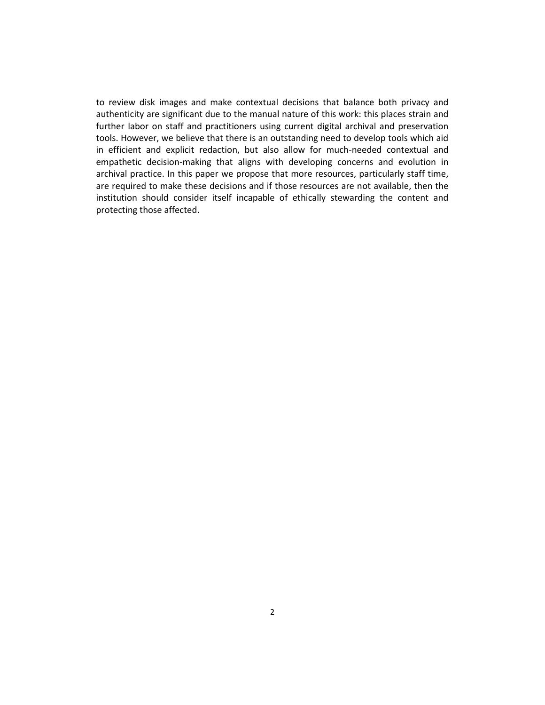to review disk images and make contextual decisions that balance both privacy and authenticity are significant due to the manual nature of this work: this places strain and further labor on staff and practitioners using current digital archival and preservation tools. However, we believe that there is an outstanding need to develop tools which aid in efficient and explicit redaction, but also allow for much-needed contextual and empathetic decision-making that aligns with developing concerns and evolution in archival practice. In this paper we propose that more resources, particularly staff time, are required to make these decisions and if those resources are not available, then the institution should consider itself incapable of ethically stewarding the content and protecting those affected.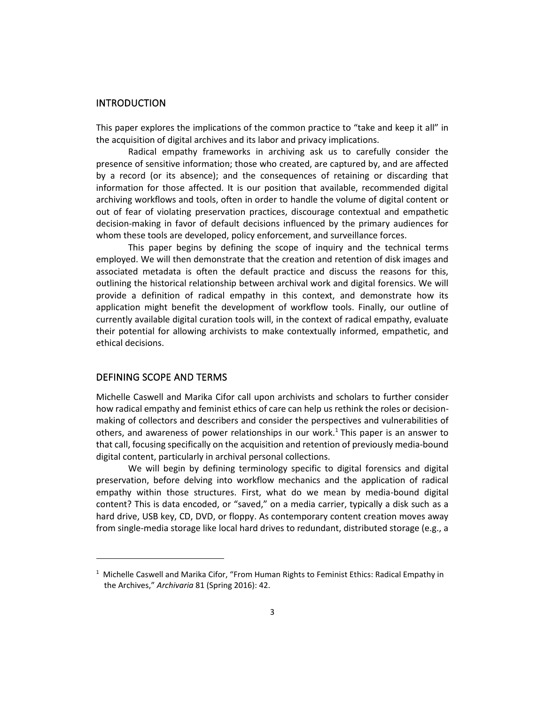#### INTRODUCTION

This paper explores the implications of the common practice to "take and keep it all" in the acquisition of digital archives and its labor and privacy implications.

Radical empathy frameworks in archiving ask us to carefully consider the presence of sensitive information; those who created, are captured by, and are affected by a record (or its absence); and the consequences of retaining or discarding that information for those affected. It is our position that available, recommended digital archiving workflows and tools, often in order to handle the volume of digital content or out of fear of violating preservation practices, discourage contextual and empathetic decision-making in favor of default decisions influenced by the primary audiences for whom these tools are developed, policy enforcement, and surveillance forces.

This paper begins by defining the scope of inquiry and the technical terms employed. We will then demonstrate that the creation and retention of disk images and associated metadata is often the default practice and discuss the reasons for this, outlining the historical relationship between archival work and digital forensics. We will provide a definition of radical empathy in this context, and demonstrate how its application might benefit the development of workflow tools. Finally, our outline of currently available digital curation tools will, in the context of radical empathy, evaluate their potential for allowing archivists to make contextually informed, empathetic, and ethical decisions.

## DEFINING SCOPE AND TERMS

Michelle Caswell and Marika Cifor call upon archivists and scholars to further consider how radical empathy and feminist ethics of care can help us rethink the roles or decisionmaking of collectors and describers and consider the perspectives and vulnerabilities of others, and awareness of power relationships in our work.<sup>1</sup> This paper is an answer to that call, focusing specifically on the acquisition and retention of previously media-bound digital content, particularly in archival personal collections.

We will begin by defining terminology specific to digital forensics and digital preservation, before delving into workflow mechanics and the application of radical empathy within those structures. First, what do we mean by media-bound digital content? This is data encoded, or "saved," on a media carrier, typically a disk such as a hard drive, USB key, CD, DVD, or floppy. As contemporary content creation moves away from single-media storage like local hard drives to redundant, distributed storage (e.g., a

 $1$  Michelle Caswell and Marika Cifor, "From Human Rights to Feminist Ethics: Radical Empathy in the Archives," *Archivaria* 81 (Spring 2016): 42.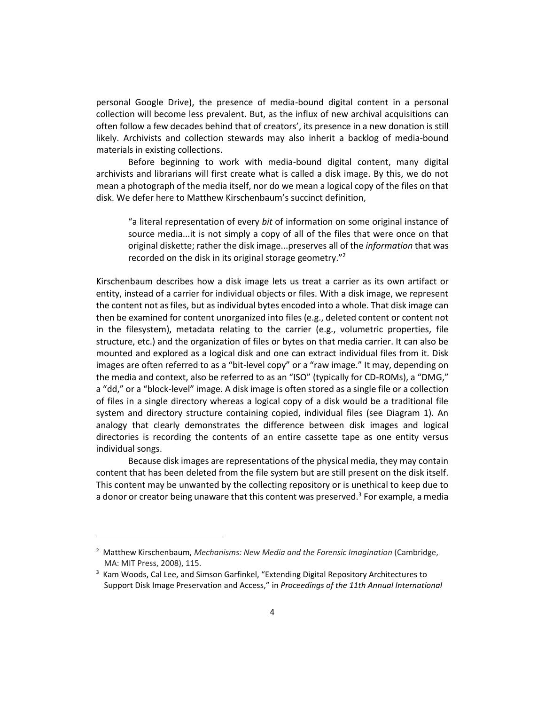personal Google Drive), the presence of media-bound digital content in a personal collection will become less prevalent. But, as the influx of new archival acquisitions can often follow a few decades behind that of creators', its presence in a new donation is still likely. Archivists and collection stewards may also inherit a backlog of media-bound materials in existing collections.

Before beginning to work with media-bound digital content, many digital archivists and librarians will first create what is called a disk image. By this, we do not mean a photograph of the media itself, nor do we mean a logical copy of the files on that disk. We defer here to Matthew Kirschenbaum's succinct definition,

"a literal representation of every *bit* of information on some original instance of source media...it is not simply a copy of all of the files that were once on that original diskette; rather the disk image...preserves all of the *information* that was recorded on the disk in its original storage geometry."<sup>2</sup>

Kirschenbaum describes how a disk image lets us treat a carrier as its own artifact or entity, instead of a carrier for individual objects or files. With a disk image, we represent the content not as files, but as individual bytes encoded into a whole. That disk image can then be examined for content unorganized into files (e.g., deleted content or content not in the filesystem), metadata relating to the carrier (e.g., volumetric properties, file structure, etc.) and the organization of files or bytes on that media carrier. It can also be mounted and explored as a logical disk and one can extract individual files from it. Disk images are often referred to as a "bit-level copy" or a "raw image." It may, depending on the media and context, also be referred to as an "ISO" (typically for CD-ROMs), a "DMG," a "dd," or a "block-level" image. A disk image is often stored as a single file or a collection of files in a single directory whereas a logical copy of a disk would be a traditional file system and directory structure containing copied, individual files (see Diagram 1). An analogy that clearly demonstrates the difference between disk images and logical directories is recording the contents of an entire cassette tape as one entity versus individual songs.

Because disk images are representations of the physical media, they may contain content that has been deleted from the file system but are still present on the disk itself. This content may be unwanted by the collecting repository or is unethical to keep due to a donor or creator being unaware that this content was preserved.<sup>3</sup> For example, a media

<sup>2</sup> Matthew Kirschenbaum, *Mechanisms: New Media and the Forensic Imagination* (Cambridge, MA: MIT Press, 2008), 115.

<sup>&</sup>lt;sup>3</sup> Kam Woods, Cal Lee, and Simson Garfinkel, "Extending Digital Repository Architectures to Support Disk Image Preservation and Access," in *Proceedings of the 11th Annual International*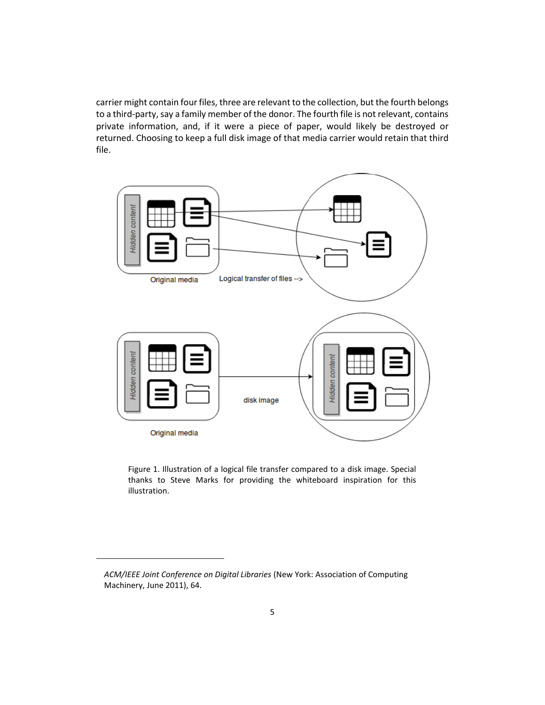carrier might contain four files, three are relevant to the collection, but the fourth belongs to a third-party, say a family member of the donor. The fourth file is not relevant, contains private information, and, if it were a piece of paper, would likely be destroyed or returned. Choosing to keep a full disk image of that media carrier would retain that third file.



Figure 1. Illustration of a logical file transfer compared to a disk image. Special thanks to Steve Marks for providing the whiteboard inspiration for this illustration.

*ACM/IEEE Joint Conference on Digital Libraries* (New York: Association of Computing Machinery, June 2011), 64.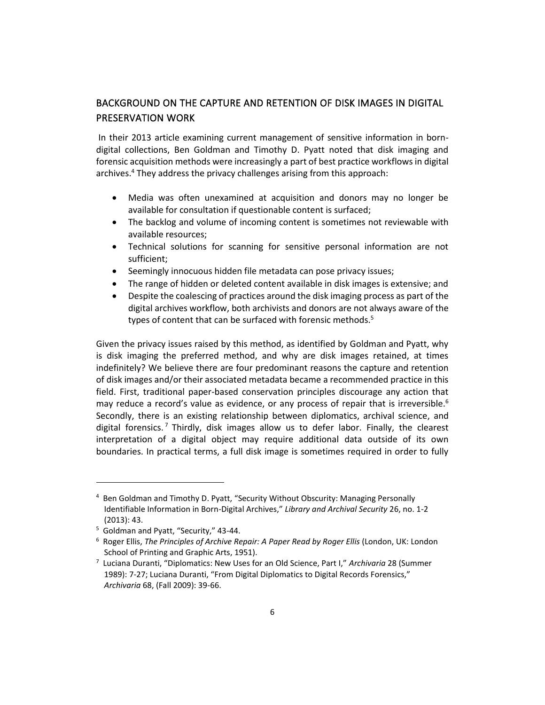# BACKGROUND ON THE CAPTURE AND RETENTION OF DISK IMAGES IN DIGITAL PRESERVATION WORK

In their 2013 article examining current management of sensitive information in borndigital collections, Ben Goldman and Timothy D. Pyatt noted that disk imaging and forensic acquisition methods were increasingly a part of best practice workflows in digital archives.<sup>4</sup> They address the privacy challenges arising from this approach:

- Media was often unexamined at acquisition and donors may no longer be available for consultation if questionable content is surfaced;
- The backlog and volume of incoming content is sometimes not reviewable with available resources;
- Technical solutions for scanning for sensitive personal information are not sufficient;
- Seemingly innocuous hidden file metadata can pose privacy issues;
- The range of hidden or deleted content available in disk images is extensive; and
- Despite the coalescing of practices around the disk imaging process as part of the digital archives workflow, both archivists and donors are not always aware of the types of content that can be surfaced with forensic methods.<sup>5</sup>

Given the privacy issues raised by this method, as identified by Goldman and Pyatt, why is disk imaging the preferred method, and why are disk images retained, at times indefinitely? We believe there are four predominant reasons the capture and retention of disk images and/or their associated metadata became a recommended practice in this field. First, traditional paper-based conservation principles discourage any action that may reduce a record's value as evidence, or any process of repair that is irreversible.<sup>6</sup> Secondly, there is an existing relationship between diplomatics, archival science, and digital forensics.<sup>7</sup> Thirdly, disk images allow us to defer labor. Finally, the clearest interpretation of a digital object may require additional data outside of its own boundaries. In practical terms, a full disk image is sometimes required in order to fully

<sup>4</sup> Ben Goldman and Timothy D. Pyatt, "Security Without Obscurity: Managing Personally Identifiable Information in Born-Digital Archives," *Library and Archival Security* 26, no. 1-2 (2013): 43.

<sup>5</sup> Goldman and Pyatt, "Security," 43-44.

<sup>6</sup> Roger Ellis, *The Principles of Archive Repair: A Paper Read by Roger Ellis* (London, UK: London School of Printing and Graphic Arts, 1951).

<sup>7</sup> Luciana Duranti, "Diplomatics: New Uses for an Old Science, Part I," *Archivaria* 28 (Summer 1989): 7-27; Luciana Duranti, "From Digital Diplomatics to Digital Records Forensics," *Archivaria* 68, (Fall 2009): 39-66.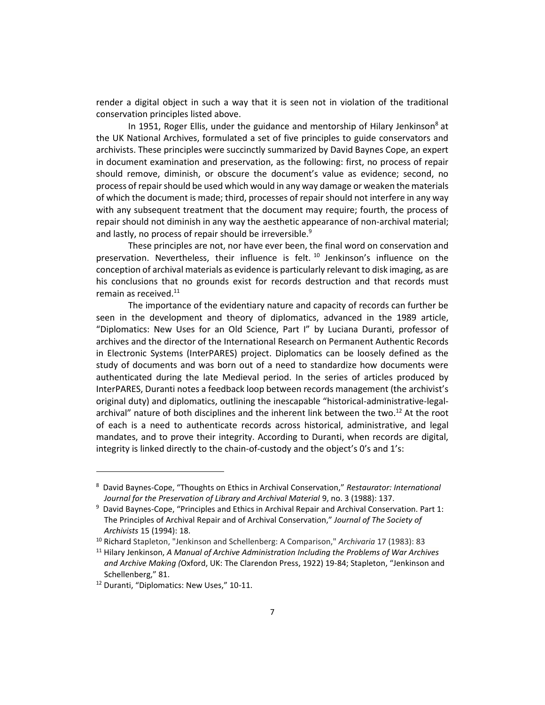render a digital object in such a way that it is seen not in violation of the traditional conservation principles listed above.

In 1951, Roger Ellis, under the guidance and mentorship of Hilary Jenkinson<sup>8</sup> at the UK National Archives, formulated a set of five principles to guide conservators and archivists. These principles were succinctly summarized by David Baynes Cope, an expert in document examination and preservation, as the following: first, no process of repair should remove, diminish, or obscure the document's value as evidence; second, no process of repair should be used which would in any way damage or weaken the materials of which the document is made; third, processes of repair should not interfere in any way with any subsequent treatment that the document may require; fourth, the process of repair should not diminish in any way the aesthetic appearance of non-archival material; and lastly, no process of repair should be irreversible.<sup>9</sup>

These principles are not, nor have ever been, the final word on conservation and preservation. Nevertheless, their influence is felt.<sup>10</sup> Jenkinson's influence on the conception of archival materials as evidence is particularly relevant to disk imaging, as are his conclusions that no grounds exist for records destruction and that records must remain as received. 11

The importance of the evidentiary nature and capacity of records can further be seen in the development and theory of diplomatics, advanced in the 1989 article, "Diplomatics: New Uses for an Old Science, Part I" by Luciana Duranti, professor of archives and the director of the International Research on Permanent Authentic Records in Electronic Systems (InterPARES) project. Diplomatics can be loosely defined as the study of documents and was born out of a need to standardize how documents were authenticated during the late Medieval period. In the series of articles produced by InterPARES, Duranti notes a feedback loop between records management (the archivist's original duty) and diplomatics, outlining the inescapable "historical-administrative-legalarchival" nature of both disciplines and the inherent link between the two.<sup>12</sup> At the root of each is a need to authenticate records across historical, administrative, and legal mandates, and to prove their integrity. According to Duranti, when records are digital, integrity is linked directly to the chain-of-custody and the object's 0's and 1's:

<sup>8</sup> David Baynes-Cope, "Thoughts on Ethics in Archival Conservation," *Restaurator: International Journal for the Preservation of Library and Archival Material* 9, no. 3 (1988): 137.

<sup>&</sup>lt;sup>9</sup> David Baynes-Cope, "Principles and Ethics in Archival Repair and Archival Conservation. Part 1: The Principles of Archival Repair and of Archival Conservation," *Journal of The Society of Archivists* 15 (1994): 18.

<sup>10</sup> Richard Stapleton, "Jenkinson and Schellenberg: A Comparison," *Archivaria* 17 (1983): 83

<sup>11</sup> Hilary Jenkinson, *A Manual of Archive Administration Including the Problems of War Archives and Archive Making (*Oxford, UK: The Clarendon Press, 1922) 19-84; Stapleton, "Jenkinson and Schellenberg," 81.

<sup>&</sup>lt;sup>12</sup> Duranti, "Diplomatics: New Uses," 10-11.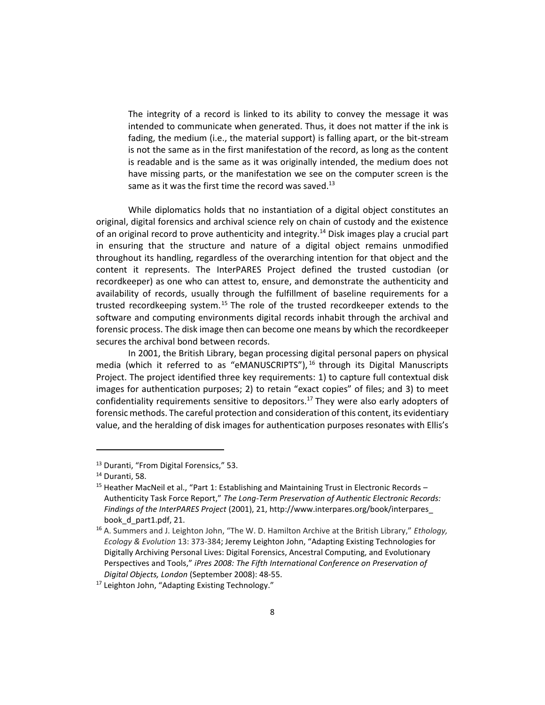The integrity of a record is linked to its ability to convey the message it was intended to communicate when generated. Thus, it does not matter if the ink is fading, the medium (i.e., the material support) is falling apart, or the bit-stream is not the same as in the first manifestation of the record, as long as the content is readable and is the same as it was originally intended, the medium does not have missing parts, or the manifestation we see on the computer screen is the same as it was the first time the record was saved.<sup>13</sup>

While diplomatics holds that no instantiation of a digital object constitutes an original, digital forensics and archival science rely on chain of custody and the existence of an original record to prove authenticity and integrity.<sup>14</sup> Disk images play a crucial part in ensuring that the structure and nature of a digital object remains unmodified throughout its handling, regardless of the overarching intention for that object and the content it represents. The InterPARES Project defined the trusted custodian (or recordkeeper) as one who can attest to, ensure, and demonstrate the authenticity and availability of records, usually through the fulfillment of baseline requirements for a trusted recordkeeping system.<sup>15</sup> The role of the trusted recordkeeper extends to the software and computing environments digital records inhabit through the archival and forensic process. The disk image then can become one means by which the recordkeeper secures the archival bond between records.

In 2001, the British Library, began processing digital personal papers on physical media (which it referred to as "eMANUSCRIPTS"),<sup>16</sup> through its Digital Manuscripts Project. The project identified three key requirements: 1) to capture full contextual disk images for authentication purposes; 2) to retain "exact copies" of files; and 3) to meet confidentiality requirements sensitive to depositors.<sup>17</sup> They were also early adopters of forensic methods. The careful protection and consideration of this content, its evidentiary value, and the heralding of disk images for authentication purposes resonates with Ellis's

<sup>&</sup>lt;sup>13</sup> Duranti, "From Digital Forensics," 53.

<sup>14</sup> Duranti, 58.

<sup>&</sup>lt;sup>15</sup> Heather MacNeil et al., "Part 1: Establishing and Maintaining Trust in Electronic Records -Authenticity Task Force Report," *The Long-Term Preservation of Authentic Electronic Records: Findings of the InterPARES Project* (2001), 21, http://www.interpares.org/book/interpares\_ book\_d\_part1.pdf, 21.

<sup>16</sup> A. Summers and J. Leighton John, "The W. D. Hamilton Archive at the British Library," *Ethology, Ecology & Evolution* 13: 373-384; Jeremy Leighton John, "Adapting Existing Technologies for Digitally Archiving Personal Lives: Digital Forensics, Ancestral Computing, and Evolutionary Perspectives and Tools," *iPres 2008: The Fifth International Conference on Preservation of Digital Objects, London* (September 2008): 48-55.

<sup>&</sup>lt;sup>17</sup> Leighton John, "Adapting Existing Technology."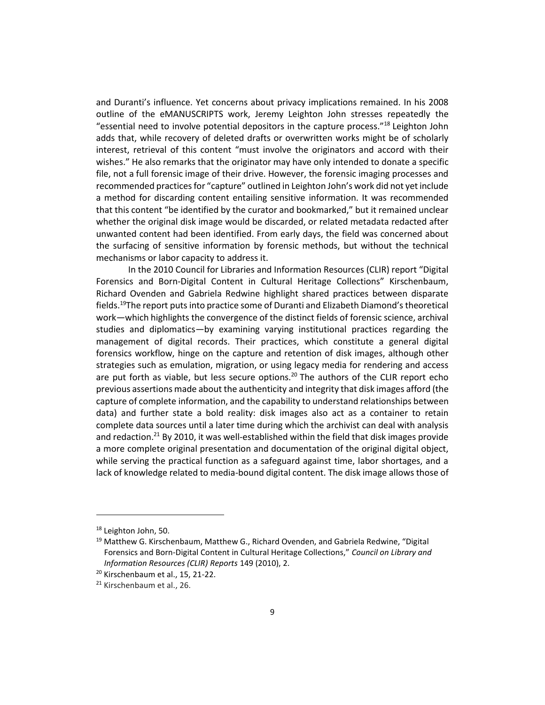and Duranti's influence. Yet concerns about privacy implications remained. In his 2008 outline of the eMANUSCRIPTS work, Jeremy Leighton John stresses repeatedly the "essential need to involve potential depositors in the capture process."<sup>18</sup> Leighton John adds that, while recovery of deleted drafts or overwritten works might be of scholarly interest, retrieval of this content "must involve the originators and accord with their wishes." He also remarks that the originator may have only intended to donate a specific file, not a full forensic image of their drive. However, the forensic imaging processes and recommended practices for "capture" outlined in Leighton John's work did not yet include a method for discarding content entailing sensitive information. It was recommended that this content "be identified by the curator and bookmarked," but it remained unclear whether the original disk image would be discarded, or related metadata redacted after unwanted content had been identified. From early days, the field was concerned about the surfacing of sensitive information by forensic methods, but without the technical mechanisms or labor capacity to address it.

In the 2010 Council for Libraries and Information Resources (CLIR) report "Digital Forensics and Born-Digital Content in Cultural Heritage Collections" Kirschenbaum, Richard Ovenden and Gabriela Redwine highlight shared practices between disparate fields.<sup>19</sup>The report puts into practice some of Duranti and Elizabeth Diamond's theoretical work—which highlights the convergence of the distinct fields of forensic science, archival studies and diplomatics—by examining varying institutional practices regarding the management of digital records. Their practices, which constitute a general digital forensics workflow, hinge on the capture and retention of disk images, although other strategies such as emulation, migration, or using legacy media for rendering and access are put forth as viable, but less secure options.<sup>20</sup> The authors of the CLIR report echo previous assertions made about the authenticity and integrity that disk images afford (the capture of complete information, and the capability to understand relationships between data) and further state a bold reality: disk images also act as a container to retain complete data sources until a later time during which the archivist can deal with analysis and redaction.<sup>21</sup> By 2010, it was well-established within the field that disk images provide a more complete original presentation and documentation of the original digital object, while serving the practical function as a safeguard against time, labor shortages, and a lack of knowledge related to media-bound digital content. The disk image allows those of

<sup>18</sup> Leighton John, 50.

<sup>&</sup>lt;sup>19</sup> Matthew G. Kirschenbaum, Matthew G., Richard Ovenden, and Gabriela Redwine, "Digital Forensics and Born-Digital Content in Cultural Heritage Collections," *Council on Library and Information Resources (CLIR) Reports* 149 (2010), 2.

<sup>&</sup>lt;sup>20</sup> Kirschenbaum et al., 15, 21-22.

<sup>&</sup>lt;sup>21</sup> Kirschenbaum et al., 26.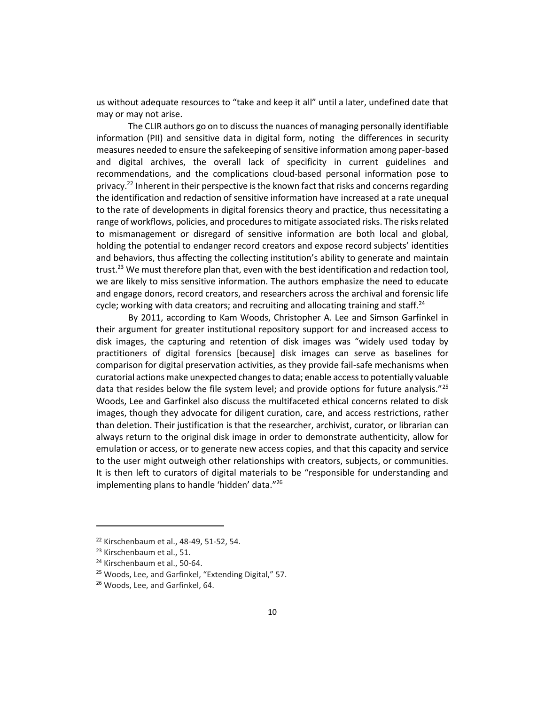us without adequate resources to "take and keep it all" until a later, undefined date that may or may not arise.

The CLIR authors go on to discuss the nuances of managing personally identifiable information (PII) and sensitive data in digital form, noting the differences in security measures needed to ensure the safekeeping of sensitive information among paper-based and digital archives, the overall lack of specificity in current guidelines and recommendations, and the complications cloud-based personal information pose to privacy.<sup>22</sup> Inherent in their perspective is the known fact that risks and concerns regarding the identification and redaction of sensitive information have increased at a rate unequal to the rate of developments in digital forensics theory and practice, thus necessitating a range of workflows, policies, and procedures to mitigate associated risks. The risks related to mismanagement or disregard of sensitive information are both local and global, holding the potential to endanger record creators and expose record subjects' identities and behaviors, thus affecting the collecting institution's ability to generate and maintain trust.<sup>23</sup> We must therefore plan that, even with the best identification and redaction tool, we are likely to miss sensitive information. The authors emphasize the need to educate and engage donors, record creators, and researchers across the archival and forensic life cycle; working with data creators; and recruiting and allocating training and staff.<sup>24</sup>

By 2011, according to Kam Woods, Christopher A. Lee and Simson Garfinkel in their argument for greater institutional repository support for and increased access to disk images, the capturing and retention of disk images was "widely used today by practitioners of digital forensics [because] disk images can serve as baselines for comparison for digital preservation activities, as they provide fail-safe mechanisms when curatorial actions make unexpected changes to data; enable access to potentially valuable data that resides below the file system level; and provide options for future analysis."<sup>25</sup> Woods, Lee and Garfinkel also discuss the multifaceted ethical concerns related to disk images, though they advocate for diligent curation, care, and access restrictions, rather than deletion. Their justification is that the researcher, archivist, curator, or librarian can always return to the original disk image in order to demonstrate authenticity, allow for emulation or access, or to generate new access copies, and that this capacity and service to the user might outweigh other relationships with creators, subjects, or communities. It is then left to curators of digital materials to be "responsible for understanding and implementing plans to handle 'hidden' data."<sup>26</sup>

<sup>22</sup> Kirschenbaum et al., 48-49, 51-52, 54.

<sup>23</sup> Kirschenbaum et al., 51.

<sup>&</sup>lt;sup>24</sup> Kirschenbaum et al., 50-64.

<sup>25</sup> Woods, Lee, and Garfinkel, "Extending Digital," 57.

<sup>26</sup> Woods, Lee, and Garfinkel, 64.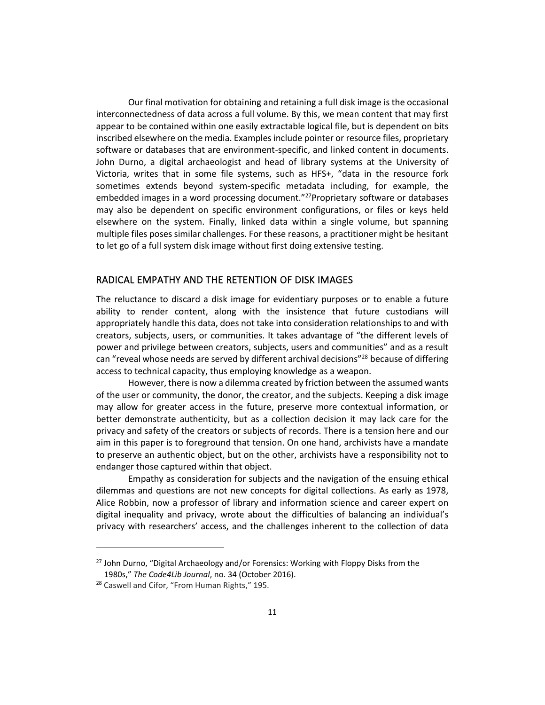Our final motivation for obtaining and retaining a full disk image is the occasional interconnectedness of data across a full volume. By this, we mean content that may first appear to be contained within one easily extractable logical file, but is dependent on bits inscribed elsewhere on the media. Examples include pointer or resource files, proprietary software or databases that are environment-specific, and linked content in documents. John Durno, a digital archaeologist and head of library systems at the University of Victoria, writes that in some file systems, such as HFS+, "data in the resource fork sometimes extends beyond system-specific metadata including, for example, the embedded images in a word processing document."<sup>27</sup>Proprietary software or databases may also be dependent on specific environment configurations, or files or keys held elsewhere on the system. Finally, linked data within a single volume, but spanning multiple files poses similar challenges. For these reasons, a practitioner might be hesitant to let go of a full system disk image without first doing extensive testing.

## RADICAL EMPATHY AND THE RETENTION OF DISK IMAGES

The reluctance to discard a disk image for evidentiary purposes or to enable a future ability to render content, along with the insistence that future custodians will appropriately handle this data, does not take into consideration relationships to and with creators, subjects, users, or communities. It takes advantage of "the different levels of power and privilege between creators, subjects, users and communities" and as a result can "reveal whose needs are served by different archival decisions"<sup>28</sup> because of differing access to technical capacity, thus employing knowledge as a weapon.

However, there is now a dilemma created by friction between the assumed wants of the user or community, the donor, the creator, and the subjects. Keeping a disk image may allow for greater access in the future, preserve more contextual information, or better demonstrate authenticity, but as a collection decision it may lack care for the privacy and safety of the creators or subjects of records. There is a tension here and our aim in this paper is to foreground that tension. On one hand, archivists have a mandate to preserve an authentic object, but on the other, archivists have a responsibility not to endanger those captured within that object.

Empathy as consideration for subjects and the navigation of the ensuing ethical dilemmas and questions are not new concepts for digital collections. As early as 1978, Alice Robbin, now a professor of library and information science and career expert on digital inequality and privacy, wrote about the difficulties of balancing an individual's privacy with researchers' access, and the challenges inherent to the collection of data

<sup>&</sup>lt;sup>27</sup> John Durno, "Digital Archaeology and/or Forensics: Working with Floppy Disks from the 1980s," *The Code4Lib Journal*, no. 34 (October 2016).

<sup>&</sup>lt;sup>28</sup> Caswell and Cifor, "From Human Rights," 195.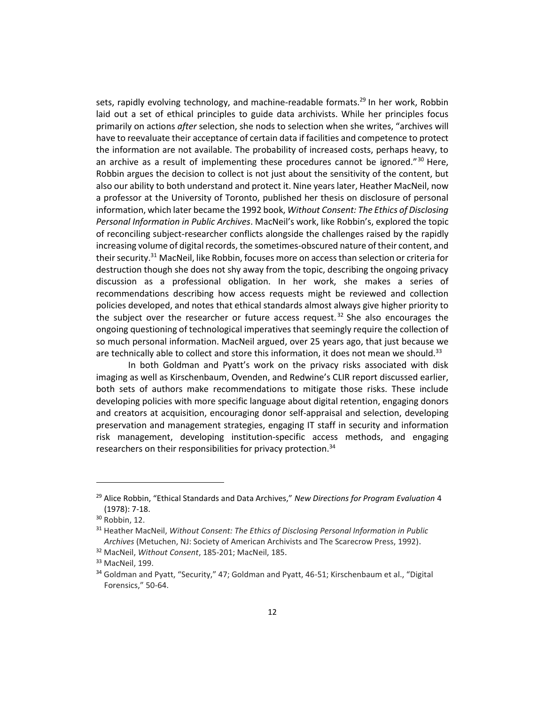sets, rapidly evolving technology, and machine-readable formats.<sup>29</sup> In her work, Robbin laid out a set of ethical principles to guide data archivists. While her principles focus primarily on actions *after* selection, she nods to selection when she writes, "archives will have to reevaluate their acceptance of certain data if facilities and competence to protect the information are not available. The probability of increased costs, perhaps heavy, to an archive as a result of implementing these procedures cannot be ignored." $30$  Here, Robbin argues the decision to collect is not just about the sensitivity of the content, but also our ability to both understand and protect it. Nine years later, Heather MacNeil, now a professor at the University of Toronto, published her thesis on disclosure of personal information, which later became the 1992 book, *Without Consent: The Ethics of Disclosing Personal Information in Public Archives*. MacNeil's work, like Robbin's, explored the topic of reconciling subject-researcher conflicts alongside the challenges raised by the rapidly increasing volume of digital records, the sometimes-obscured nature of their content, and their security.<sup>31</sup> MacNeil, like Robbin, focuses more on access than selection or criteria for destruction though she does not shy away from the topic, describing the ongoing privacy discussion as a professional obligation. In her work, she makes a series of recommendations describing how access requests might be reviewed and collection policies developed, and notes that ethical standards almost always give higher priority to the subject over the researcher or future access request.<sup>32</sup> She also encourages the ongoing questioning of technological imperatives that seemingly require the collection of so much personal information. MacNeil argued, over 25 years ago, that just because we are technically able to collect and store this information, it does not mean we should.<sup>33</sup>

In both Goldman and Pyatt's work on the privacy risks associated with disk imaging as well as Kirschenbaum, Ovenden, and Redwine's CLIR report discussed earlier, both sets of authors make recommendations to mitigate those risks. These include developing policies with more specific language about digital retention, engaging donors and creators at acquisition, encouraging donor self-appraisal and selection, developing preservation and management strategies, engaging IT staff in security and information risk management, developing institution-specific access methods, and engaging researchers on their responsibilities for privacy protection.<sup>34</sup>

<sup>29</sup> Alice Robbin, "Ethical Standards and Data Archives," *New Directions for Program Evaluation* 4 (1978): 7-18.

<sup>30</sup> Robbin, 12.

<sup>31</sup> Heather MacNeil, *Without Consent: The Ethics of Disclosing Personal Information in Public Archives* (Metuchen, NJ: Society of American Archivists and The Scarecrow Press, 1992).

<sup>32</sup> MacNeil, *Without Consent*, 185-201; MacNeil, 185.

<sup>33</sup> MacNeil, 199.

<sup>&</sup>lt;sup>34</sup> Goldman and Pyatt, "Security," 47; Goldman and Pyatt, 46-51; Kirschenbaum et al., "Digital Forensics," 50-64.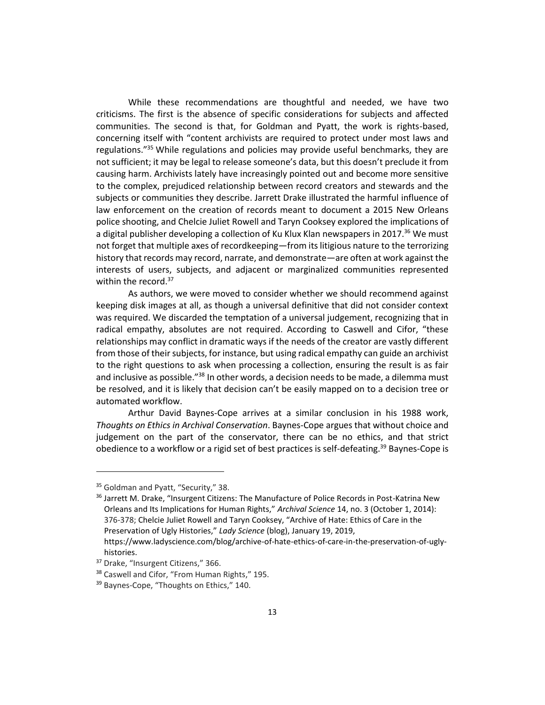While these recommendations are thoughtful and needed, we have two criticisms. The first is the absence of specific considerations for subjects and affected communities. The second is that, for Goldman and Pyatt, the work is rights-based, concerning itself with "content archivists are required to protect under most laws and regulations."<sup>35</sup> While regulations and policies may provide useful benchmarks, they are not sufficient; it may be legal to release someone's data, but this doesn't preclude it from causing harm. Archivists lately have increasingly pointed out and become more sensitive to the complex, prejudiced relationship between record creators and stewards and the subjects or communities they describe. Jarrett Drake illustrated the harmful influence of law enforcement on the creation of records meant to document a 2015 New Orleans police shooting, and Chelcie Juliet Rowell and Taryn Cooksey explored the implications of a digital publisher developing a collection of Ku Klux Klan newspapers in 2017.<sup>36</sup> We must not forget that multiple axes of recordkeeping—from its litigious nature to the terrorizing history that records may record, narrate, and demonstrate—are often at work against the interests of users, subjects, and adjacent or marginalized communities represented within the record.<sup>37</sup>

As authors, we were moved to consider whether we should recommend against keeping disk images at all, as though a universal definitive that did not consider context was required. We discarded the temptation of a universal judgement, recognizing that in radical empathy, absolutes are not required. According to Caswell and Cifor, "these relationships may conflict in dramatic ways if the needs of the creator are vastly different from those of their subjects, for instance, but using radical empathy can guide an archivist to the right questions to ask when processing a collection, ensuring the result is as fair and inclusive as possible."<sup>38</sup> In other words, a decision needs to be made, a dilemma must be resolved, and it is likely that decision can't be easily mapped on to a decision tree or automated workflow.

Arthur David Baynes-Cope arrives at a similar conclusion in his 1988 work, *Thoughts on Ethics in Archival Conservation*. Baynes-Cope argues that without choice and judgement on the part of the conservator, there can be no ethics, and that strict obedience to a workflow or a rigid set of best practices is self-defeating.<sup>39</sup> Baynes-Cope is

histories.

<sup>&</sup>lt;sup>35</sup> Goldman and Pyatt, "Security," 38.

<sup>&</sup>lt;sup>36</sup> Jarrett M. Drake, "Insurgent Citizens: The Manufacture of Police Records in Post-Katrina New Orleans and Its Implications for Human Rights," *Archival Science* 14, no. 3 (October 1, 2014): 376-378; Chelcie Juliet Rowell and Taryn Cooksey, "Archive of Hate: Ethics of Care in the Preservation of Ugly Histories," *Lady Science* (blog), January 19, 2019, https://www.ladyscience.com/blog/archive-of-hate-ethics-of-care-in-the-preservation-of-ugly-

<sup>&</sup>lt;sup>37</sup> Drake, "Insurgent Citizens," 366.

<sup>38</sup> Caswell and Cifor, "From Human Rights," 195.

<sup>39</sup> Baynes-Cope, "Thoughts on Ethics," 140.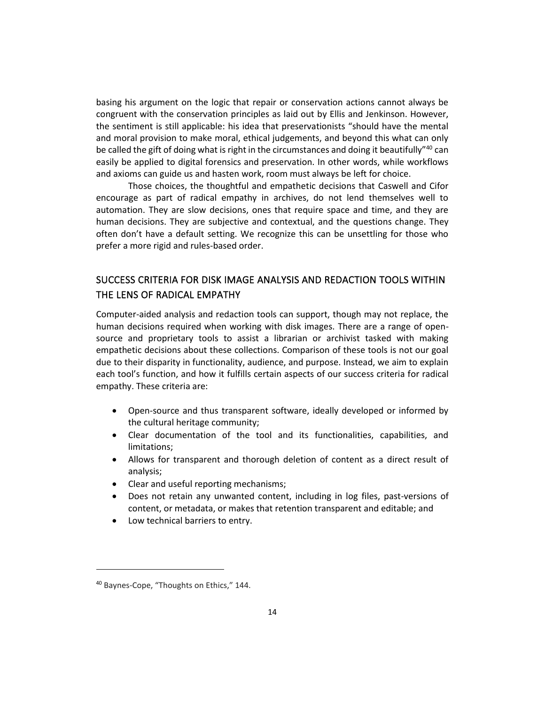basing his argument on the logic that repair or conservation actions cannot always be congruent with the conservation principles as laid out by Ellis and Jenkinson. However, the sentiment is still applicable: his idea that preservationists "should have the mental and moral provision to make moral, ethical judgements, and beyond this what can only be called the gift of doing what is right in the circumstances and doing it beautifully"<sup>40</sup> can easily be applied to digital forensics and preservation. In other words, while workflows and axioms can guide us and hasten work, room must always be left for choice.

Those choices, the thoughtful and empathetic decisions that Caswell and Cifor encourage as part of radical empathy in archives, do not lend themselves well to automation. They are slow decisions, ones that require space and time, and they are human decisions. They are subjective and contextual, and the questions change. They often don't have a default setting. We recognize this can be unsettling for those who prefer a more rigid and rules-based order.

# SUCCESS CRITERIA FOR DISK IMAGE ANALYSIS AND REDACTION TOOLS WITHIN THE LENS OF RADICAL EMPATHY

Computer-aided analysis and redaction tools can support, though may not replace, the human decisions required when working with disk images. There are a range of opensource and proprietary tools to assist a librarian or archivist tasked with making empathetic decisions about these collections. Comparison of these tools is not our goal due to their disparity in functionality, audience, and purpose. Instead, we aim to explain each tool's function, and how it fulfills certain aspects of our success criteria for radical empathy. These criteria are:

- Open-source and thus transparent software, ideally developed or informed by the cultural heritage community;
- Clear documentation of the tool and its functionalities, capabilities, and limitations;
- Allows for transparent and thorough deletion of content as a direct result of analysis;
- Clear and useful reporting mechanisms;
- Does not retain any unwanted content, including in log files, past-versions of content, or metadata, or makes that retention transparent and editable; and
- Low technical barriers to entry.

<sup>40</sup> Baynes-Cope, "Thoughts on Ethics," 144.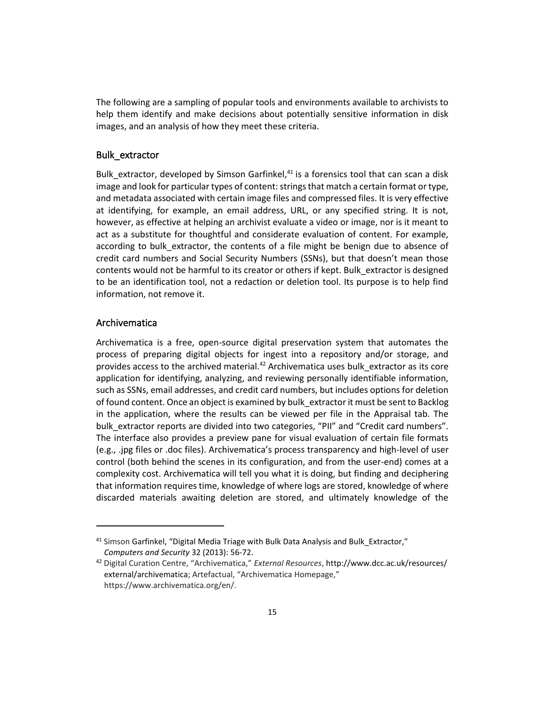The following are a sampling of popular tools and environments available to archivists to help them identify and make decisions about potentially sensitive information in disk images, and an analysis of how they meet these criteria.

#### Bulk\_extractor

Bulk\_extractor, developed by Simson Garfinkel, $41$  is a forensics tool that can scan a disk image and look for particular types of content: strings that match a certain format or type, and metadata associated with certain image files and compressed files. It is very effective at identifying, for example, an email address, URL, or any specified string. It is not, however, as effective at helping an archivist evaluate a video or image, nor is it meant to act as a substitute for thoughtful and considerate evaluation of content. For example, according to bulk extractor, the contents of a file might be benign due to absence of credit card numbers and Social Security Numbers (SSNs), but that doesn't mean those contents would not be harmful to its creator or others if kept. Bulk\_extractor is designed to be an identification tool, not a redaction or deletion tool. Its purpose is to help find information, not remove it.

# Archivematica

Archivematica is a free, open-source digital preservation system that automates the process of preparing digital objects for ingest into a repository and/or storage, and provides access to the archived material. $42$  Archivematica uses bulk extractor as its core application for identifying, analyzing, and reviewing personally identifiable information, such as SSNs, email addresses, and credit card numbers, but includes options for deletion of found content. Once an object is examined by bulk\_extractor it must be sent to Backlog in the application, where the results can be viewed per file in the Appraisal tab. The bulk\_extractor reports are divided into two categories, "PII" and "Credit card numbers". The interface also provides a preview pane for visual evaluation of certain file formats (e.g., .jpg files or .doc files). Archivematica's process transparency and high-level of user control (both behind the scenes in its configuration, and from the user-end) comes at a complexity cost. Archivematica will tell you what it is doing, but finding and deciphering that information requires time, knowledge of where logs are stored, knowledge of where discarded materials awaiting deletion are stored, and ultimately knowledge of the

<sup>&</sup>lt;sup>41</sup> Simson Garfinkel, "Digital Media Triage with Bulk Data Analysis and Bulk\_Extractor," *Computers and Security* 32 (2013): 56-72.

<sup>42</sup> Digital Curation Centre, "Archivematica," *External Resources*[, http://www.dcc.ac.uk/resources/](http://www.dcc.ac.uk/resources/external/archivematica) [external/archivematica](http://www.dcc.ac.uk/resources/external/archivematica); Artefactual, "Archivematica Homepage," https://www.archivematica.org/en/.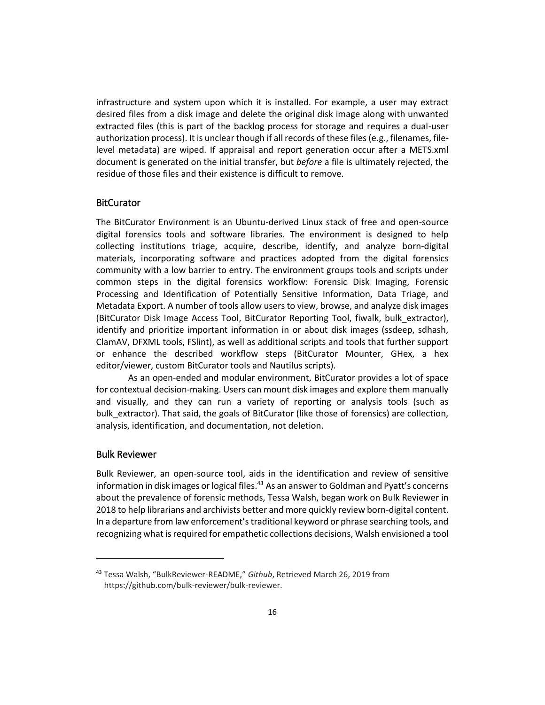infrastructure and system upon which it is installed. For example, a user may extract desired files from a disk image and delete the original disk image along with unwanted extracted files (this is part of the backlog process for storage and requires a dual-user authorization process). It is unclear though if all records of these files (e.g., filenames, filelevel metadata) are wiped. If appraisal and report generation occur after a METS.xml document is generated on the initial transfer, but *before* a file is ultimately rejected, the residue of those files and their existence is difficult to remove.

## **BitCurator**

The BitCurator Environment is an Ubuntu-derived Linux stack of free and open-source digital forensics tools and software libraries. The environment is designed to help collecting institutions triage, acquire, describe, identify, and analyze born-digital materials, incorporating software and practices adopted from the digital forensics community with a low barrier to entry. The environment groups tools and scripts under common steps in the digital forensics workflow: Forensic Disk Imaging, Forensic Processing and Identification of Potentially Sensitive Information, Data Triage, and Metadata Export. A number of tools allow users to view, browse, and analyze disk images (BitCurator Disk Image Access Tool, BitCurator Reporting Tool, fiwalk, bulk\_extractor), identify and prioritize important information in or about disk images (ssdeep, sdhash, ClamAV, DFXML tools, FSlint), as well as additional scripts and tools that further support or enhance the described workflow steps (BitCurator Mounter, GHex, a hex editor/viewer, custom BitCurator tools and Nautilus scripts).

As an open-ended and modular environment, BitCurator provides a lot of space for contextual decision-making. Users can mount disk images and explore them manually and visually, and they can run a variety of reporting or analysis tools (such as bulk\_extractor). That said, the goals of BitCurator (like those of forensics) are collection, analysis, identification, and documentation, not deletion.

## Bulk Reviewer

Bulk Reviewer, an open-source tool, aids in the identification and review of sensitive information in disk images or logical files.<sup>43</sup> As an answer to Goldman and Pyatt's concerns about the prevalence of forensic methods, Tessa Walsh, began work on Bulk Reviewer in 2018 to help librarians and archivists better and more quickly review born-digital content. In a departure from law enforcement's traditional keyword or phrase searching tools, and recognizing what is required for empathetic collections decisions, Walsh envisioned a tool

<sup>43</sup> Tessa Walsh, "BulkReviewer-README," *Github*, Retrieved March 26, 2019 from https://github.com/bulk-reviewer/bulk-reviewer.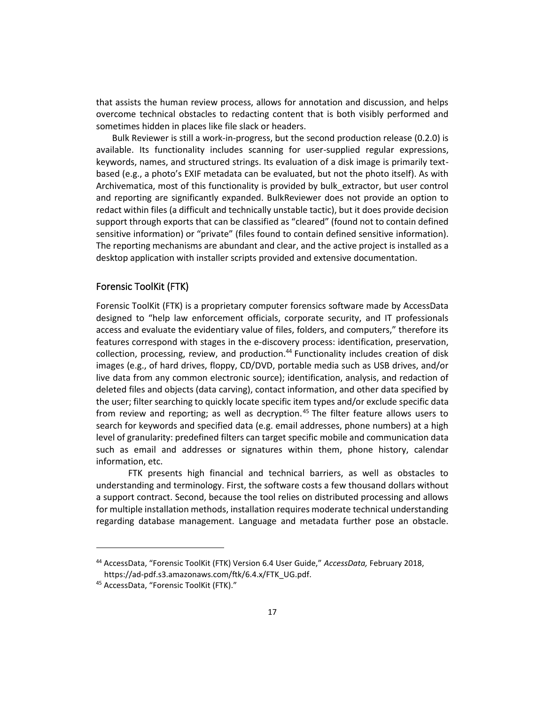that assists the human review process, allows for annotation and discussion, and helps overcome technical obstacles to redacting content that is both visibly performed and sometimes hidden in places like file slack or headers.

Bulk Reviewer is still a work-in-progress, but the second production release (0.2.0) is available. Its functionality includes scanning for user-supplied regular expressions, keywords, names, and structured strings. Its evaluation of a disk image is primarily textbased (e.g., a photo's EXIF metadata can be evaluated, but not the photo itself). As with Archivematica, most of this functionality is provided by bulk\_extractor, but user control and reporting are significantly expanded. BulkReviewer does not provide an option to redact within files (a difficult and technically unstable tactic), but it does provide decision support through exports that can be classified as "cleared" (found not to contain defined sensitive information) or "private" (files found to contain defined sensitive information). The reporting mechanisms are abundant and clear, and the active project is installed as a desktop application with installer scripts provided and extensive documentation.

#### Forensic ToolKit (FTK)

Forensic ToolKit (FTK) is a proprietary computer forensics software made by AccessData designed to "help law enforcement officials, corporate security, and IT professionals access and evaluate the evidentiary value of files, folders, and computers," therefore its features correspond with stages in the e-discovery process: identification, preservation, collection, processing, review, and production.<sup>44</sup> Functionality includes creation of disk images (e.g., of hard drives, floppy, CD/DVD, portable media such as USB drives, and/or live data from any common electronic source); identification, analysis, and redaction of deleted files and objects (data carving), contact information, and other data specified by the user; filter searching to quickly locate specific item types and/or exclude specific data from review and reporting; as well as decryption.<sup>45</sup> The filter feature allows users to search for keywords and specified data (e.g. email addresses, phone numbers) at a high level of granularity: predefined filters can target specific mobile and communication data such as email and addresses or signatures within them, phone history, calendar information, etc.

FTK presents high financial and technical barriers, as well as obstacles to understanding and terminology. First, the software costs a few thousand dollars without a support contract. Second, because the tool relies on distributed processing and allows for multiple installation methods, installation requires moderate technical understanding regarding database management. Language and metadata further pose an obstacle.

<sup>44</sup> AccessData, "Forensic ToolKit (FTK) Version 6.4 User Guide," *AccessData,* February 2018, https://ad-pdf.s3.amazonaws.com/ftk/6.4.x/FTK\_UG.pdf.

<sup>45</sup> AccessData, "Forensic ToolKit (FTK)."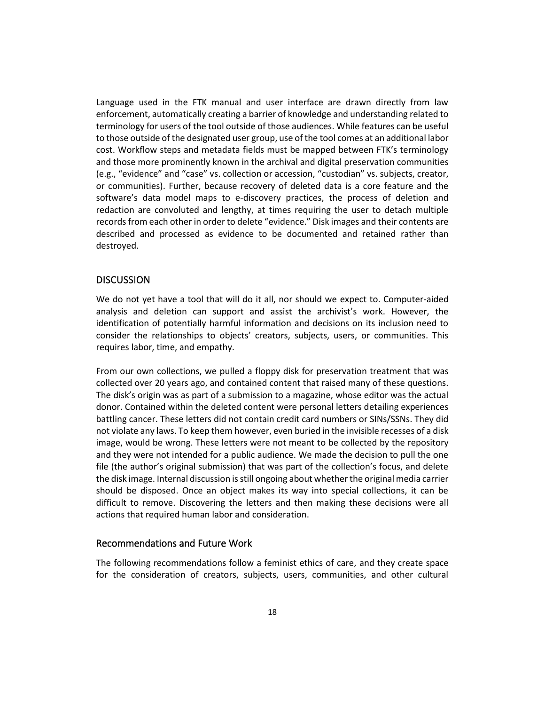Language used in the FTK manual and user interface are drawn directly from law enforcement, automatically creating a barrier of knowledge and understanding related to terminology for users of the tool outside of those audiences. While features can be useful to those outside of the designated user group, use of the tool comes at an additional labor cost. Workflow steps and metadata fields must be mapped between FTK's terminology and those more prominently known in the archival and digital preservation communities (e.g., "evidence" and "case" vs. collection or accession, "custodian" vs. subjects, creator, or communities). Further, because recovery of deleted data is a core feature and the software's data model maps to e-discovery practices, the process of deletion and redaction are convoluted and lengthy, at times requiring the user to detach multiple records from each other in order to delete "evidence." Disk images and their contents are described and processed as evidence to be documented and retained rather than destroyed.

# **DISCUSSION**

We do not yet have a tool that will do it all, nor should we expect to. Computer-aided analysis and deletion can support and assist the archivist's work. However, the identification of potentially harmful information and decisions on its inclusion need to consider the relationships to objects' creators, subjects, users, or communities. This requires labor, time, and empathy.

From our own collections, we pulled a floppy disk for preservation treatment that was collected over 20 years ago, and contained content that raised many of these questions. The disk's origin was as part of a submission to a magazine, whose editor was the actual donor. Contained within the deleted content were personal letters detailing experiences battling cancer. These letters did not contain credit card numbers or SINs/SSNs. They did not violate any laws. To keep them however, even buried in the invisible recesses of a disk image, would be wrong. These letters were not meant to be collected by the repository and they were not intended for a public audience. We made the decision to pull the one file (the author's original submission) that was part of the collection's focus, and delete the disk image. Internal discussion is still ongoing about whether the original media carrier should be disposed. Once an object makes its way into special collections, it can be difficult to remove. Discovering the letters and then making these decisions were all actions that required human labor and consideration.

## Recommendations and Future Work

The following recommendations follow a feminist ethics of care, and they create space for the consideration of creators, subjects, users, communities, and other cultural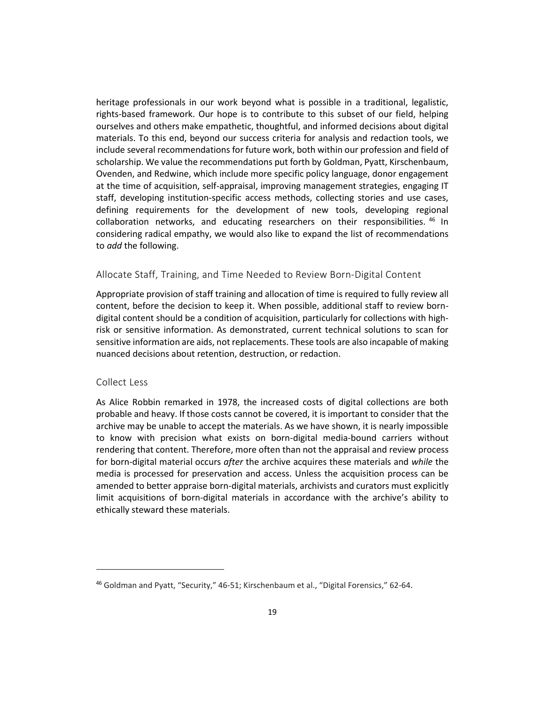heritage professionals in our work beyond what is possible in a traditional, legalistic, rights-based framework. Our hope is to contribute to this subset of our field, helping ourselves and others make empathetic, thoughtful, and informed decisions about digital materials. To this end, beyond our success criteria for analysis and redaction tools, we include several recommendations for future work, both within our profession and field of scholarship. We value the recommendations put forth by Goldman, Pyatt, Kirschenbaum, Ovenden, and Redwine, which include more specific policy language, donor engagement at the time of acquisition, self-appraisal, improving management strategies, engaging IT staff, developing institution-specific access methods, collecting stories and use cases, defining requirements for the development of new tools, developing regional collaboration networks, and educating researchers on their responsibilities. <sup>46</sup> In considering radical empathy, we would also like to expand the list of recommendations to *add* the following.

#### Allocate Staff, Training, and Time Needed to Review Born-Digital Content

Appropriate provision of staff training and allocation of time is required to fully review all content, before the decision to keep it. When possible, additional staff to review borndigital content should be a condition of acquisition, particularly for collections with highrisk or sensitive information. As demonstrated, current technical solutions to scan for sensitive information are aids, not replacements. These tools are also incapable of making nuanced decisions about retention, destruction, or redaction.

#### Collect Less

As Alice Robbin remarked in 1978, the increased costs of digital collections are both probable and heavy. If those costs cannot be covered, it is important to consider that the archive may be unable to accept the materials. As we have shown, it is nearly impossible to know with precision what exists on born-digital media-bound carriers without rendering that content. Therefore, more often than not the appraisal and review process for born-digital material occurs *after* the archive acquires these materials and *while* the media is processed for preservation and access. Unless the acquisition process can be amended to better appraise born-digital materials, archivists and curators must explicitly limit acquisitions of born-digital materials in accordance with the archive's ability to ethically steward these materials.

<sup>46</sup> Goldman and Pyatt, "Security," 46-51; Kirschenbaum et al., "Digital Forensics," 62-64.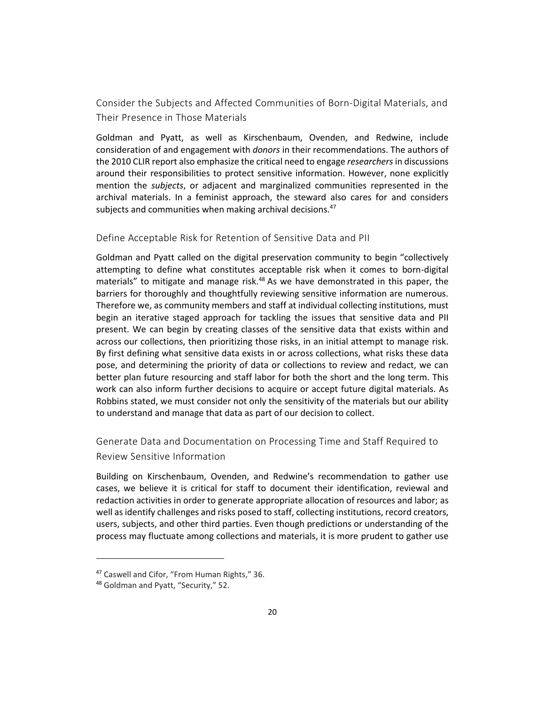Consider the Subjects and Affected Communities of Born-Digital Materials, and Their Presence in Those Materials

Goldman and Pyatt, as well as Kirschenbaum, Ovenden, and Redwine, include consideration of and engagement with *donors* in their recommendations. The authors of the 2010 CLIR report also emphasize the critical need to engage *researchers*in discussions around their responsibilities to protect sensitive information. However, none explicitly mention the *subjects*, or adjacent and marginalized communities represented in the archival materials. In a feminist approach, the steward also cares for and considers subjects and communities when making archival decisions.<sup>47</sup>

Define Acceptable Risk for Retention of Sensitive Data and PII

Goldman and Pyatt called on the digital preservation community to begin "collectively attempting to define what constitutes acceptable risk when it comes to born-digital materials" to mitigate and manage risk. $48$  As we have demonstrated in this paper, the barriers for thoroughly and thoughtfully reviewing sensitive information are numerous. Therefore we, as community members and staff at individual collecting institutions, must begin an iterative staged approach for tackling the issues that sensitive data and PII present. We can begin by creating classes of the sensitive data that exists within and across our collections, then prioritizing those risks, in an initial attempt to manage risk. By first defining what sensitive data exists in or across collections, what risks these data pose, and determining the priority of data or collections to review and redact, we can better plan future resourcing and staff labor for both the short and the long term. This work can also inform further decisions to acquire or accept future digital materials. As Robbins stated, we must consider not only the sensitivity of the materials but our ability to understand and manage that data as part of our decision to collect.

Generate Data and Documentation on Processing Time and Staff Required to Review Sensitive Information

Building on Kirschenbaum, Ovenden, and Redwine's recommendation to gather use cases, we believe it is critical for staff to document their identification, reviewal and redaction activities in order to generate appropriate allocation of resources and labor; as well as identify challenges and risks posed to staff, collecting institutions, record creators, users, subjects, and other third parties. Even though predictions or understanding of the process may fluctuate among collections and materials, it is more prudent to gather use

<sup>47</sup> Caswell and Cifor, "From Human Rights," 36.

<sup>48</sup> Goldman and Pyatt, "Security," 52.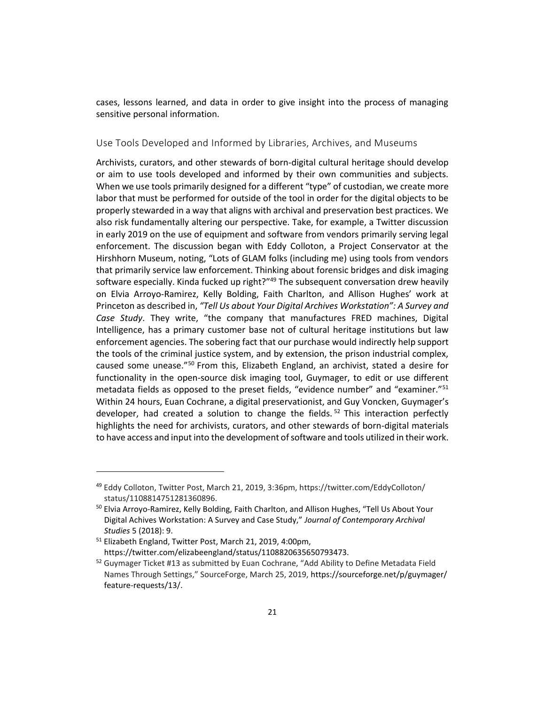cases, lessons learned, and data in order to give insight into the process of managing sensitive personal information.

#### Use Tools Developed and Informed by Libraries, Archives, and Museums

Archivists, curators, and other stewards of born-digital cultural heritage should develop or aim to use tools developed and informed by their own communities and subjects. When we use tools primarily designed for a different "type" of custodian, we create more labor that must be performed for outside of the tool in order for the digital objects to be properly stewarded in a way that aligns with archival and preservation best practices. We also risk fundamentally altering our perspective. Take, for example, a Twitter discussion in early 2019 on the use of equipment and software from vendors primarily serving legal enforcement. The discussion began with Eddy Colloton, a Project Conservator at the Hirshhorn Museum, noting, "Lots of GLAM folks (including me) using tools from vendors that primarily service law enforcement. Thinking about forensic bridges and disk imaging software especially. Kinda fucked up right?"<sup>49</sup> The subsequent conversation drew heavily on Elvia Arroyo-Ramirez, Kelly Bolding, Faith Charlton, and Allison Hughes' work at Princeton as described in, *"Tell Us about Your Digital Archives Workstation": A Survey and Case Study*. They write, "the company that manufactures FRED machines, Digital Intelligence, has a primary customer base not of cultural heritage institutions but law enforcement agencies. The sobering fact that our purchase would indirectly help support the tools of the criminal justice system, and by extension, the prison industrial complex, caused some unease." <sup>50</sup> From this, Elizabeth England, an archivist, stated a desire for functionality in the open-source disk imaging tool, Guymager, to edit or use different metadata fields as opposed to the preset fields, "evidence number" and "examiner."<sup>51</sup> Within 24 hours, Euan Cochrane, a digital preservationist, and Guy Voncken, Guymager's developer, had created a solution to change the fields.<sup>52</sup> This interaction perfectly highlights the need for archivists, curators, and other stewards of born-digital materials to have access and input into the development of software and tools utilized in their work.

<sup>&</sup>lt;sup>49</sup> Eddy Colloton, Twitter Post, March 21, 2019, 3:36pm, https://twitter.com/EddyColloton/ status/1108814751281360896.

<sup>&</sup>lt;sup>50</sup> Elvia Arroyo-Ramirez, Kelly Bolding, Faith Charlton, and Allison Hughes, "Tell Us About Your Digital Achives Workstation: A Survey and Case Study," *Journal of Contemporary Archival Studies* 5 (2018): 9.

<sup>51</sup> Elizabeth England, Twitter Post, March 21, 2019, 4:00pm, https://twitter.com/elizabeengland/status/1108820635650793473.

<sup>&</sup>lt;sup>52</sup> Guymager Ticket #13 as submitted by Euan Cochrane, "Add Ability to Define Metadata Field Names Through Settings," SourceForge, March 25, 2019, https://sourceforge.net/p/guymager/ feature-requests/13/.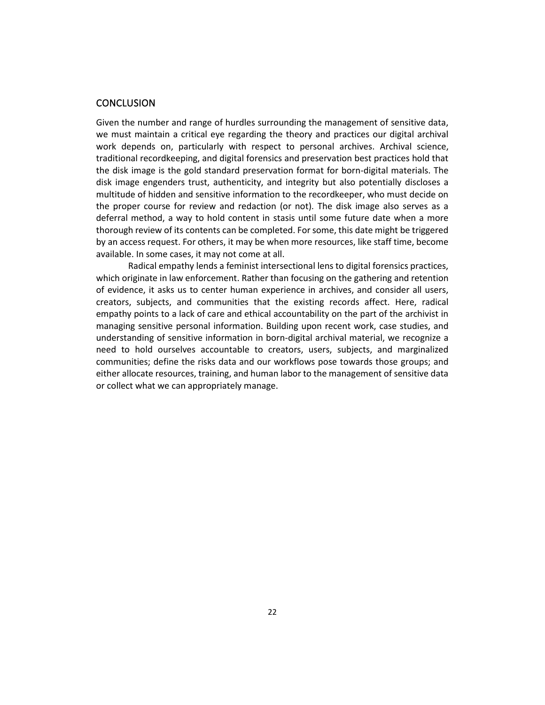## **CONCLUSION**

Given the number and range of hurdles surrounding the management of sensitive data, we must maintain a critical eye regarding the theory and practices our digital archival work depends on, particularly with respect to personal archives. Archival science, traditional recordkeeping, and digital forensics and preservation best practices hold that the disk image is the gold standard preservation format for born-digital materials. The disk image engenders trust, authenticity, and integrity but also potentially discloses a multitude of hidden and sensitive information to the recordkeeper, who must decide on the proper course for review and redaction (or not). The disk image also serves as a deferral method, a way to hold content in stasis until some future date when a more thorough review of its contents can be completed. For some, this date might be triggered by an access request. For others, it may be when more resources, like staff time, become available. In some cases, it may not come at all.

Radical empathy lends a feminist intersectional lens to digital forensics practices, which originate in law enforcement. Rather than focusing on the gathering and retention of evidence, it asks us to center human experience in archives, and consider all users, creators, subjects, and communities that the existing records affect. Here, radical empathy points to a lack of care and ethical accountability on the part of the archivist in managing sensitive personal information. Building upon recent work, case studies, and understanding of sensitive information in born-digital archival material, we recognize a need to hold ourselves accountable to creators, users, subjects, and marginalized communities; define the risks data and our workflows pose towards those groups; and either allocate resources, training, and human labor to the management of sensitive data or collect what we can appropriately manage.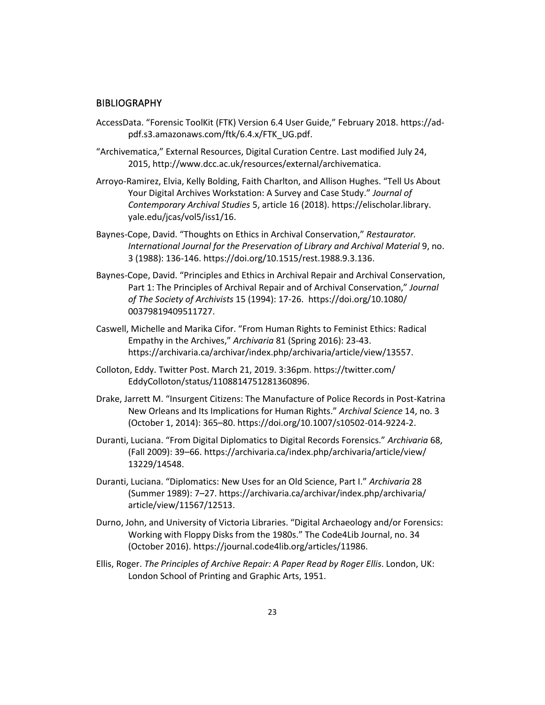#### **BIBLIOGRAPHY**

- AccessData. "Forensic ToolKit (FTK) Version 6.4 User Guide," February 2018. https://adpdf.s3.amazonaws.com/ftk/6.4.x/FTK\_UG.pdf.
- "Archivematica," External Resources, Digital Curation Centre. Last modified July 24, 2015, http://www.dcc.ac.uk/resources/external/archivematica.
- Arroyo-Ramirez, Elvia, Kelly Bolding, Faith Charlton, and Allison Hughes. "Tell Us About Your Digital Archives Workstation: A Survey and Case Study." *Journal of Contemporary Archival Studies* 5, article 16 (2018). https://elischolar.library. yale.edu/jcas/vol5/iss1/16.
- Baynes-Cope, David. "Thoughts on Ethics in Archival Conservation," *Restaurator. International Journal for the Preservation of Library and Archival Material* 9, no. 3 (1988): 136-146. https://doi.org/10.1515/rest.1988.9.3.136.
- Baynes-Cope, David. "Principles and Ethics in Archival Repair and Archival Conservation, Part 1: The Principles of Archival Repair and of Archival Conservation," *Journal of The Society of Archivists* 15 (1994): 17-26. https://doi.org/10.1080/ 00379819409511727.
- Caswell, Michelle and Marika Cifor. "From Human Rights to Feminist Ethics: Radical Empathy in the Archives," *Archivaria* 81 (Spring 2016): 23-43. https://archivaria.ca/archivar/index.php/archivaria/article/view/13557.
- Colloton, Eddy. Twitter Post. March 21, 2019. 3:36pm. https://twitter.com/ EddyColloton/status/1108814751281360896.
- Drake, Jarrett M. "Insurgent Citizens: The Manufacture of Police Records in Post-Katrina New Orleans and Its Implications for Human Rights." *Archival Science* 14, no. 3 (October 1, 2014): 365–80. https://doi.org/10.1007/s10502-014-9224-2.
- Duranti, Luciana. "From Digital Diplomatics to Digital Records Forensics." *Archivaria* 68, (Fall 2009): 39–66. [https://archivaria.ca/index.php/archivaria/article/view/](https://archivaria.ca/index.php/archivaria/article/view/13229/14548) [13229/14548.](https://archivaria.ca/index.php/archivaria/article/view/13229/14548)
- Duranti, Luciana. "Diplomatics: New Uses for an Old Science, Part I." *Archivaria* 28 (Summer 1989): 7–27. [https://archivaria.ca/archivar/index.php/archivaria/](https://archivaria.ca/archivar/index.php/archivaria/article/view/11567/12513) [article/view/11567/12513.](https://archivaria.ca/archivar/index.php/archivaria/article/view/11567/12513)
- Durno, John, and University of Victoria Libraries. "Digital Archaeology and/or Forensics: Working with Floppy Disks from the 1980s." The Code4Lib Journal, no. 34 (October 2016). https://journal.code4lib.org/articles/11986.
- Ellis, Roger. *The Principles of Archive Repair: A Paper Read by Roger Ellis*. London, UK: London School of Printing and Graphic Arts, 1951.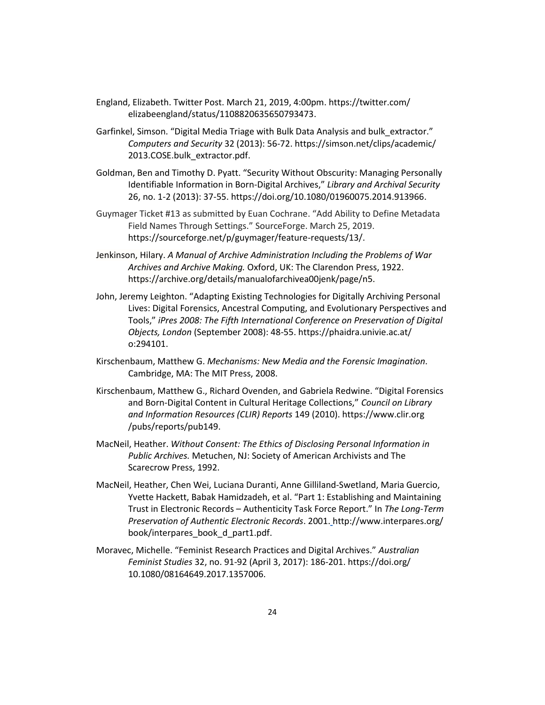- England, Elizabeth. Twitter Post. March 21, 2019, 4:00pm. https://twitter.com/ elizabeengland/status/1108820635650793473.
- Garfinkel, Simson. "Digital Media Triage with Bulk Data Analysis and bulk\_extractor." *Computers and Security* 32 (2013): 56-72. https://simson.net/clips/academic/ 2013.COSE.bulk\_extractor.pdf.
- Goldman, Ben and Timothy D. Pyatt. "Security Without Obscurity: Managing Personally Identifiable Information in Born-Digital Archives," *Library and Archival Security* 26, no. 1-2 (2013): 37-55[. https://doi.org/10.1080/01960075.2014.913966.](https://doi.org/10.1080/01960075.2014.913966)
- Guymager Ticket #13 as submitted by Euan Cochrane. "Add Ability to Define Metadata Field Names Through Settings." SourceForge. March 25, 2019. https://sourceforge.net/p/guymager/feature-requests/13/.
- Jenkinson, Hilary. *A Manual of Archive Administration Including the Problems of War Archives and Archive Making.* Oxford, UK: The Clarendon Press, 1922. https://archive.org/details/manualofarchivea00jenk/page/n5.
- John, Jeremy Leighton. "Adapting Existing Technologies for Digitally Archiving Personal Lives: Digital Forensics, Ancestral Computing, and Evolutionary Perspectives and Tools," *iPres 2008: The Fifth International Conference on Preservation of Digital Objects, London* (September 2008): 48-55. https://phaidra.univie.ac.at/ o:294101.
- Kirschenbaum, Matthew G. *Mechanisms: New Media and the Forensic Imagination*. Cambridge, MA: The MIT Press, 2008.
- Kirschenbaum, Matthew G., Richard Ovenden, and Gabriela Redwine. "Digital Forensics and Born-Digital Content in Cultural Heritage Collections," *Council on Library and Information Resources (CLIR) Reports* 149 (2010). https://www.clir.org /pubs/reports/pub149.
- MacNeil, Heather. *Without Consent: The Ethics of Disclosing Personal Information in Public Archives.* Metuchen, NJ: Society of American Archivists and The Scarecrow Press, 1992.
- MacNeil, Heather, Chen Wei, Luciana Duranti, Anne Gilliland-Swetland, Maria Guercio, Yvette Hackett, Babak Hamidzadeh, et al. "Part 1: Establishing and Maintaining Trust in Electronic Records – Authenticity Task Force Report." In *The Long-Term Preservation of Authentic Electronic Records*. 2001[.](file:///C:/Users/andre/Desktop/) http://www.interpares.org/ book/interpares\_book\_d\_part1.pdf.
- Moravec, Michelle. "Feminist Research Practices and Digital Archives." *Australian Feminist Studies* 32, no. 91-92 (April 3, 2017): 186-201. https://doi.org/ 10.1080/08164649.2017.1357006.